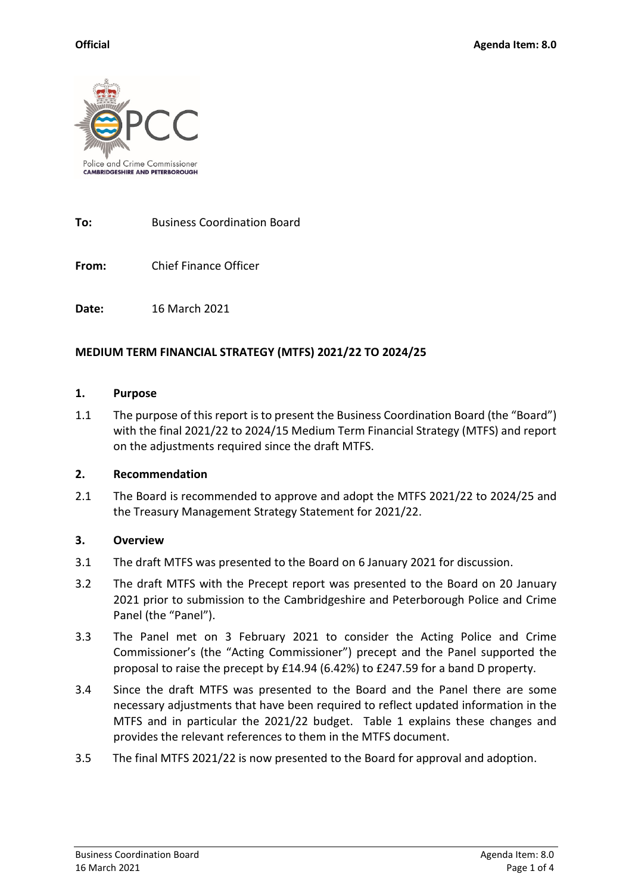

**To:** Business Coordination Board

**From:** Chief Finance Officer

**Date:** 16 March 2021

## **MEDIUM TERM FINANCIAL STRATEGY (MTFS) 2021/22 TO 2024/25**

#### **1. Purpose**

1.1 The purpose of this report is to present the Business Coordination Board (the "Board") with the final 2021/22 to 2024/15 Medium Term Financial Strategy (MTFS) and report on the adjustments required since the draft MTFS.

## **2. Recommendation**

2.1 The Board is recommended to approve and adopt the MTFS 2021/22 to 2024/25 and the Treasury Management Strategy Statement for 2021/22.

## **3. Overview**

- 3.1 The draft MTFS was presented to the Board on 6 January 2021 for discussion.
- 3.2 The draft MTFS with the Precept report was presented to the Board on 20 January 2021 prior to submission to the Cambridgeshire and Peterborough Police and Crime Panel (the "Panel").
- 3.3 The Panel met on 3 February 2021 to consider the Acting Police and Crime Commissioner's (the "Acting Commissioner") precept and the Panel supported the proposal to raise the precept by £14.94 (6.42%) to £247.59 for a band D property.
- 3.4 Since the draft MTFS was presented to the Board and the Panel there are some necessary adjustments that have been required to reflect updated information in the MTFS and in particular the 2021/22 budget. Table 1 explains these changes and provides the relevant references to them in the MTFS document.
- 3.5 The final MTFS 2021/22 is now presented to the Board for approval and adoption.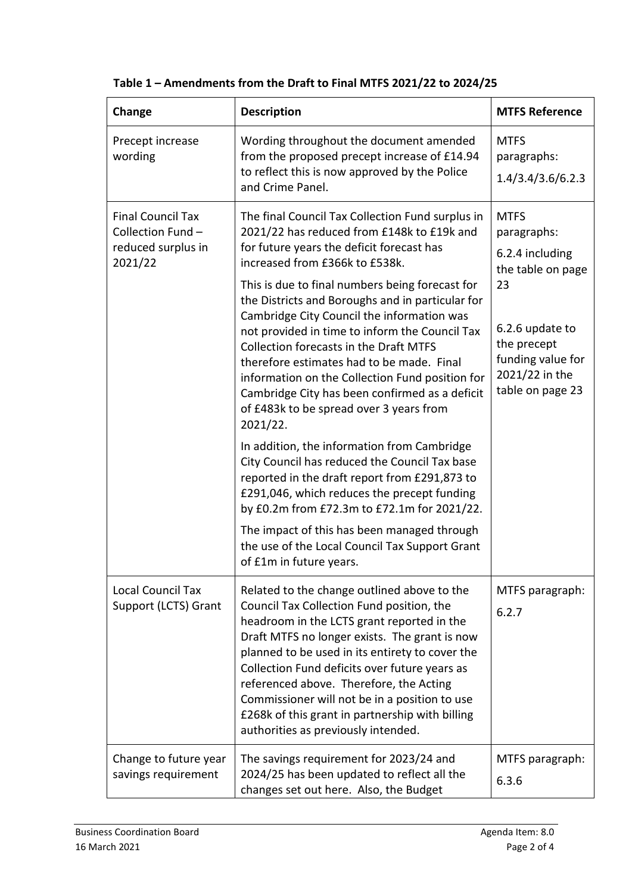| Change                                                                         | <b>Description</b>                                                                                                                                                                                                                                                                                                                                                                                                                                                                                                                                                                                                                                                                                                                                                                                                                             | <b>MTFS Reference</b>                                                                                                                                                 |
|--------------------------------------------------------------------------------|------------------------------------------------------------------------------------------------------------------------------------------------------------------------------------------------------------------------------------------------------------------------------------------------------------------------------------------------------------------------------------------------------------------------------------------------------------------------------------------------------------------------------------------------------------------------------------------------------------------------------------------------------------------------------------------------------------------------------------------------------------------------------------------------------------------------------------------------|-----------------------------------------------------------------------------------------------------------------------------------------------------------------------|
| Precept increase<br>wording                                                    | Wording throughout the document amended<br>from the proposed precept increase of £14.94<br>to reflect this is now approved by the Police<br>and Crime Panel.                                                                                                                                                                                                                                                                                                                                                                                                                                                                                                                                                                                                                                                                                   | <b>MTFS</b><br>paragraphs:<br>1.4/3.4/3.6/6.2.3                                                                                                                       |
| <b>Final Council Tax</b><br>Collection Fund -<br>reduced surplus in<br>2021/22 | The final Council Tax Collection Fund surplus in<br>2021/22 has reduced from £148k to £19k and<br>for future years the deficit forecast has<br>increased from £366k to £538k.<br>This is due to final numbers being forecast for<br>the Districts and Boroughs and in particular for<br>Cambridge City Council the information was<br>not provided in time to inform the Council Tax<br><b>Collection forecasts in the Draft MTFS</b><br>therefore estimates had to be made. Final<br>information on the Collection Fund position for<br>Cambridge City has been confirmed as a deficit<br>of £483k to be spread over 3 years from<br>2021/22.<br>In addition, the information from Cambridge<br>City Council has reduced the Council Tax base<br>reported in the draft report from £291,873 to<br>£291,046, which reduces the precept funding | <b>MTFS</b><br>paragraphs:<br>6.2.4 including<br>the table on page<br>23<br>6.2.6 update to<br>the precept<br>funding value for<br>2021/22 in the<br>table on page 23 |
|                                                                                | by £0.2m from £72.3m to £72.1m for 2021/22.<br>The impact of this has been managed through<br>the use of the Local Council Tax Support Grant<br>of £1m in future years.                                                                                                                                                                                                                                                                                                                                                                                                                                                                                                                                                                                                                                                                        |                                                                                                                                                                       |
| Local Council Tax<br>Support (LCTS) Grant                                      | Related to the change outlined above to the<br>Council Tax Collection Fund position, the<br>headroom in the LCTS grant reported in the<br>Draft MTFS no longer exists. The grant is now<br>planned to be used in its entirety to cover the<br>Collection Fund deficits over future years as<br>referenced above. Therefore, the Acting<br>Commissioner will not be in a position to use<br>£268k of this grant in partnership with billing<br>authorities as previously intended.                                                                                                                                                                                                                                                                                                                                                              | MTFS paragraph:<br>6.2.7                                                                                                                                              |
| Change to future year<br>savings requirement                                   | The savings requirement for 2023/24 and<br>2024/25 has been updated to reflect all the<br>changes set out here. Also, the Budget                                                                                                                                                                                                                                                                                                                                                                                                                                                                                                                                                                                                                                                                                                               | MTFS paragraph:<br>6.3.6                                                                                                                                              |

| Table 1 - Amendments from the Draft to Final MTFS 2021/22 to 2024/25 |  |  |  |
|----------------------------------------------------------------------|--|--|--|
|----------------------------------------------------------------------|--|--|--|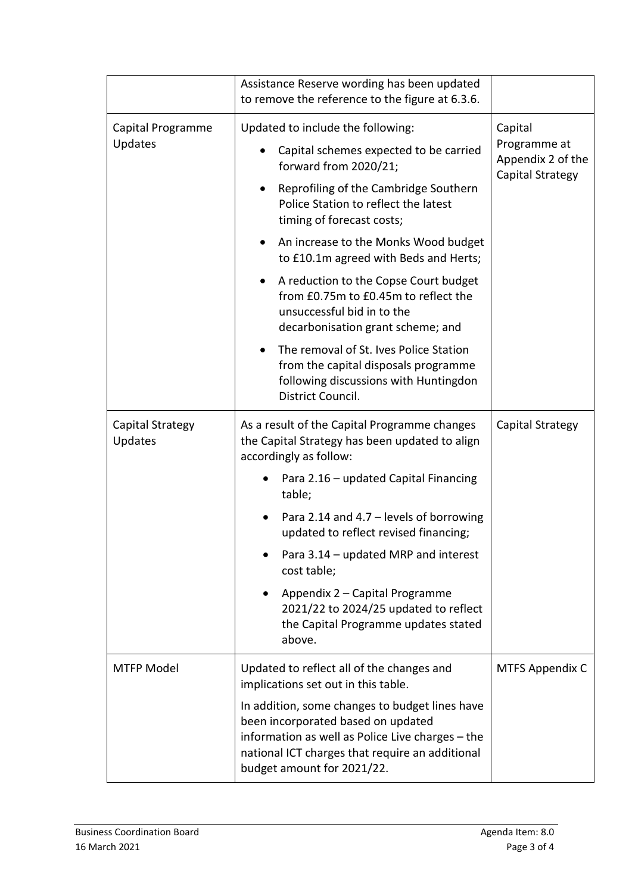|                              | Assistance Reserve wording has been updated<br>to remove the reference to the figure at 6.3.6.                                                                                                                                                                                                                                                                                                                                                                                                                                                                                                               |                                                                  |
|------------------------------|--------------------------------------------------------------------------------------------------------------------------------------------------------------------------------------------------------------------------------------------------------------------------------------------------------------------------------------------------------------------------------------------------------------------------------------------------------------------------------------------------------------------------------------------------------------------------------------------------------------|------------------------------------------------------------------|
| Capital Programme<br>Updates | Updated to include the following:<br>Capital schemes expected to be carried<br>forward from 2020/21;<br>Reprofiling of the Cambridge Southern<br>Police Station to reflect the latest<br>timing of forecast costs;<br>An increase to the Monks Wood budget<br>$\bullet$<br>to £10.1m agreed with Beds and Herts;<br>A reduction to the Copse Court budget<br>$\bullet$<br>from £0.75m to £0.45m to reflect the<br>unsuccessful bid in to the<br>decarbonisation grant scheme; and<br>The removal of St. Ives Police Station<br>from the capital disposals programme<br>following discussions with Huntingdon | Capital<br>Programme at<br>Appendix 2 of the<br>Capital Strategy |
| Capital Strategy<br>Updates  | District Council.<br>As a result of the Capital Programme changes<br>the Capital Strategy has been updated to align<br>accordingly as follow:<br>Para 2.16 - updated Capital Financing                                                                                                                                                                                                                                                                                                                                                                                                                       | Capital Strategy                                                 |
|                              | table;<br>Para 2.14 and 4.7 - levels of borrowing<br>updated to reflect revised financing;<br>Para 3.14 - updated MRP and interest<br>cost table;<br>Appendix 2 - Capital Programme<br>2021/22 to 2024/25 updated to reflect<br>the Capital Programme updates stated<br>above.                                                                                                                                                                                                                                                                                                                               |                                                                  |
| <b>MTFP Model</b>            | Updated to reflect all of the changes and<br>implications set out in this table.<br>In addition, some changes to budget lines have<br>been incorporated based on updated<br>information as well as Police Live charges - the<br>national ICT charges that require an additional<br>budget amount for 2021/22.                                                                                                                                                                                                                                                                                                | <b>MTFS Appendix C</b>                                           |